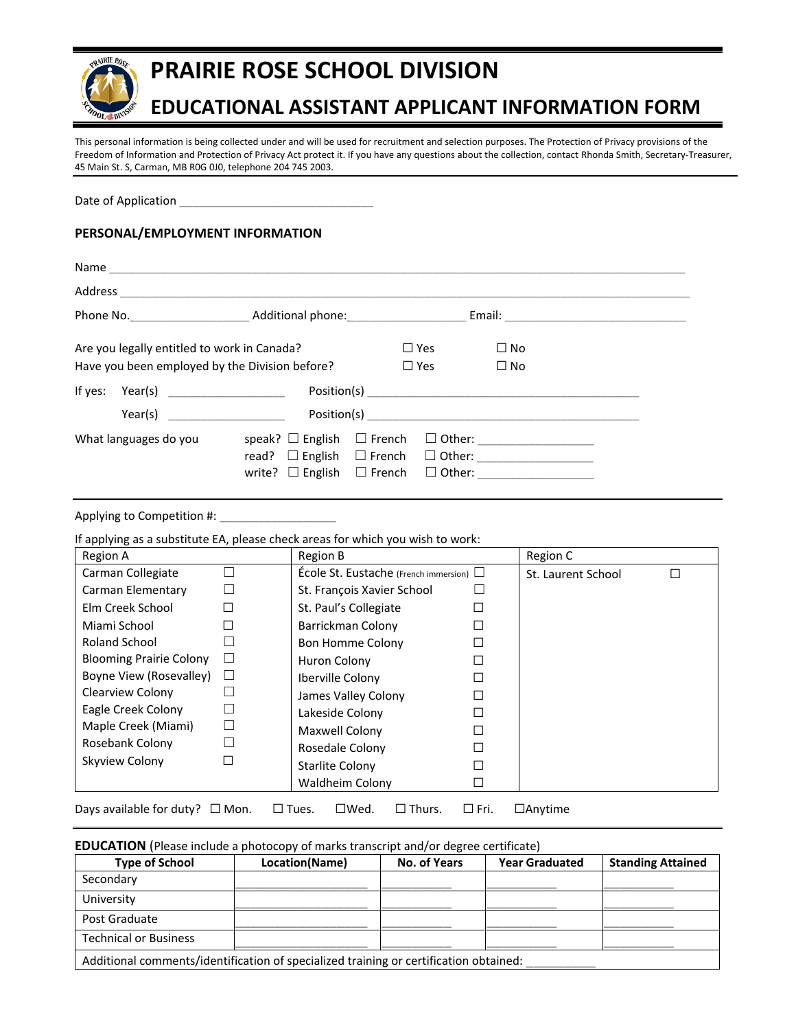

# **PRAIRIE ROSE SCHOOL DIVISION**

## **EDUCATIONAL ASSISTANT APPLICANT INFORMATION FORM**

This personal information is being collected under and will be used for recruitment and selection purposes. The Protection of Privacy provisions of the Freedom of Information and Protection of Privacy Act protect it. If you have any questions about the collection, contact Rhonda Smith, Secretary-Treasurer, 45 Main St. S, Carman, MB R0G 0J0, telephone 204 745 2003.

Date of Application

### **PERSONAL/EMPLOYMENT INFORMATION**

| Name and the contract of the contract of the contract of the contract of the contract of the contract of the contract of the contract of the contract of the contract of the contract of the contract of the contract of the c |                                                                                                                  |                                |                                                                      |  |
|--------------------------------------------------------------------------------------------------------------------------------------------------------------------------------------------------------------------------------|------------------------------------------------------------------------------------------------------------------|--------------------------------|----------------------------------------------------------------------|--|
|                                                                                                                                                                                                                                |                                                                                                                  |                                |                                                                      |  |
|                                                                                                                                                                                                                                |                                                                                                                  |                                |                                                                      |  |
| Are you legally entitled to work in Canada?<br>Have you been employed by the Division before?                                                                                                                                  |                                                                                                                  | $\square$ Yes<br>$\square$ Yes | $\square$ No<br>$\square$ No                                         |  |
| If yes: Year(s) ______________________<br>Year(s)                                                                                                                                                                              |                                                                                                                  |                                |                                                                      |  |
| What languages do you                                                                                                                                                                                                          | speak? $\Box$ English $\Box$ French<br>read? $\Box$ English $\Box$ French<br>write? $\Box$ English $\Box$ French |                                | $\Box$ Other: ____________________<br>□ Other: _____________________ |  |

Applying to Competition #:

If applying as a substitute EA, please check areas for which you wish to work:

| П<br>St. Laurent School |
|-------------------------|
|                         |
|                         |
|                         |
|                         |
|                         |
|                         |
|                         |
|                         |
|                         |
|                         |
|                         |
|                         |
|                         |
|                         |

Days available for duty? □ Mon. □ Tues. □ Wed. □ Thurs. □ Fri. □ Anytime

**EDUCATION** (Please include a photocopy of marks transcript and/or degree certificate)

| <b>Type of School</b>                                                                 | Location(Name) | No. of Years | <b>Year Graduated</b> | <b>Standing Attained</b> |
|---------------------------------------------------------------------------------------|----------------|--------------|-----------------------|--------------------------|
| Secondary                                                                             |                |              |                       |                          |
| University                                                                            |                |              |                       |                          |
| Post Graduate                                                                         |                |              |                       |                          |
| <b>Technical or Business</b>                                                          |                |              |                       |                          |
| Additional comments/identification of specialized training or certification obtained: |                |              |                       |                          |